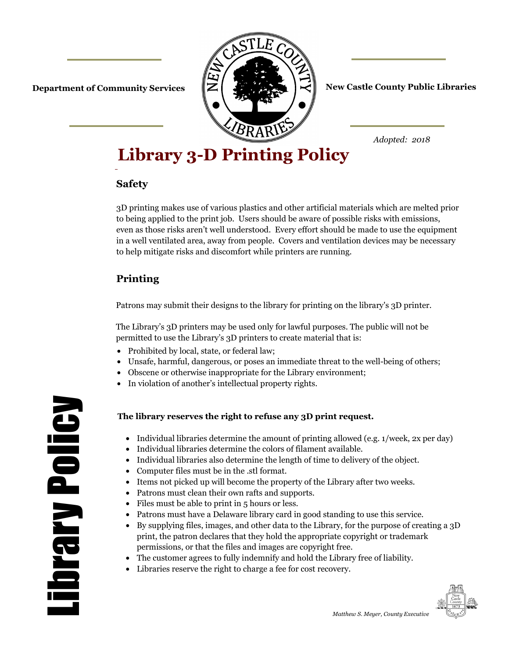

#### **Department of Community Services**  $\|\mathbf{Z}\|$  **of**  $\|\mathbf{Z}\|$  $\|\mathbf{Z}\|$  **New Castle County Public Libraries**

*Adopted: 2018*

# **Library 3-D Printing Policy**

#### **Safety**

3D printing makes use of various plastics and other artificial materials which are melted prior to being applied to the print job. Users should be aware of possible risks with emissions, even as those risks aren't well understood. Every effort should be made to use the equipment in a well ventilated area, away from people. Covers and ventilation devices may be necessary to help mitigate risks and discomfort while printers are running.

## **Printing**

Patrons may submit their designs to the library for printing on the library's 3D printer.

The Library's 3D printers may be used only for lawful purposes. The public will not be permitted to use the Library's 3D printers to create material that is:

- Prohibited by local, state, or federal law;
- Unsafe, harmful, dangerous, or poses an immediate threat to the well-being of others;
- Obscene or otherwise inappropriate for the Library environment;
- In violation of another's intellectual property rights.

#### **The library reserves the right to refuse any 3D print request.**

- Individual libraries determine the amount of printing allowed (e.g. 1/week, 2x per day)
	- Individual libraries determine the colors of filament available.
- Individual libraries also determine the length of time to delivery of the object.
- Computer files must be in the .stl format.
- Items not picked up will become the property of the Library after two weeks.
- Patrons must clean their own rafts and supports.
- Files must be able to print in 5 hours or less.
- Patrons must have a Delaware library card in good standing to use this service.
- By supplying files, images, and other data to the Library, for the purpose of creating a 3D print, the patron declares that they hold the appropriate copyright or trademark permissions, or that the files and images are copyright free.
- The customer agrees to fully indemnify and hold the Library free of liability.
- Libraries reserve the right to charge a fee for cost recovery.